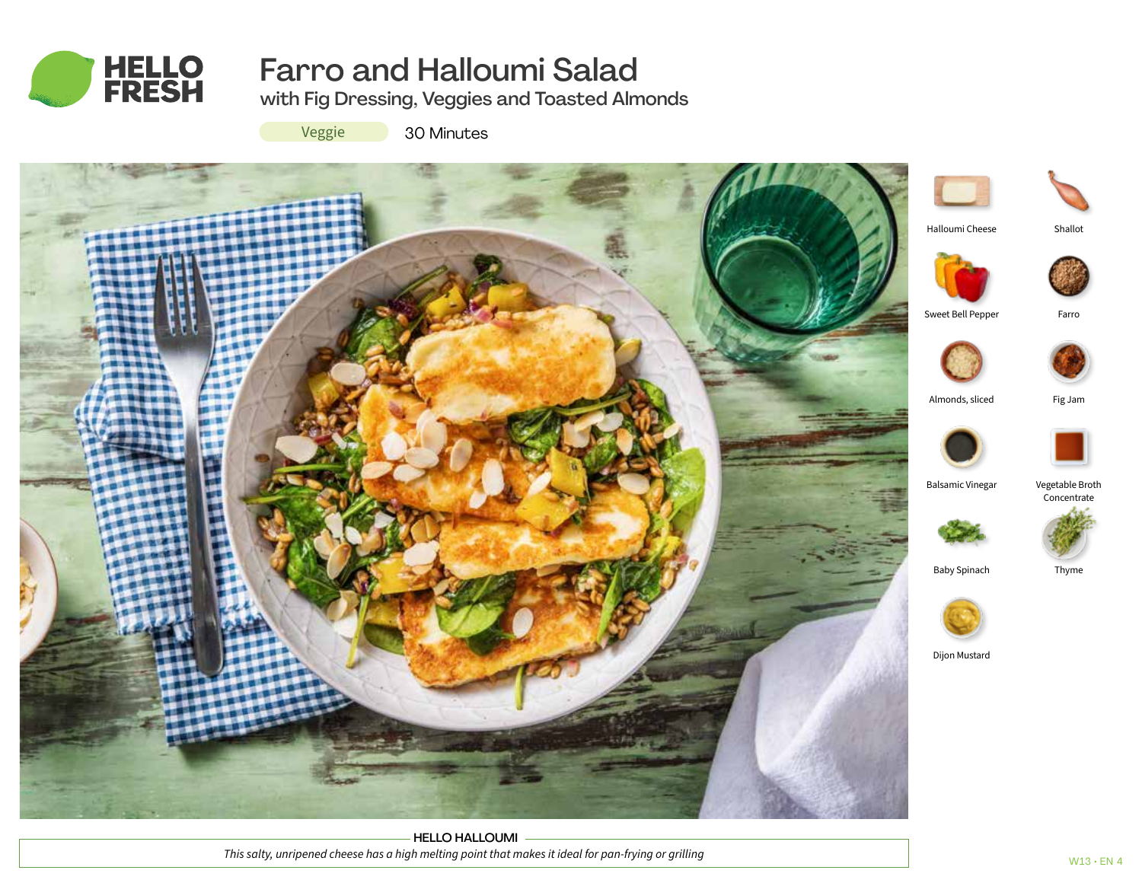

# Farro and Halloumi Salad

with Fig Dressing, Veggies and Toasted Almonds

Veggie

30 Minutes